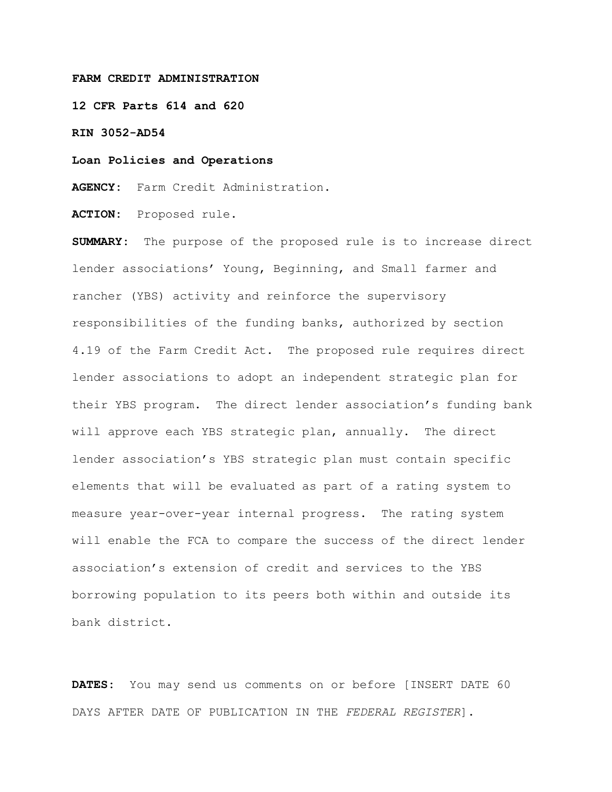### **FARM CREDIT ADMINISTRATION**

**12 CFR Parts 614 and 620**

**RIN 3052-AD54**

**Loan Policies and Operations**

**AGENCY:** Farm Credit Administration.

**ACTION:** Proposed rule.

**SUMMARY:** The purpose of the proposed rule is to increase direct lender associations' Young, Beginning, and Small farmer and rancher (YBS) activity and reinforce the supervisory responsibilities of the funding banks, authorized by section 4.19 of the Farm Credit Act. The proposed rule requires direct lender associations to adopt an independent strategic plan for their YBS program. The direct lender association's funding bank will approve each YBS strategic plan, annually. The direct lender association's YBS strategic plan must contain specific elements that will be evaluated as part of a rating system to measure year-over-year internal progress. The rating system will enable the FCA to compare the success of the direct lender association's extension of credit and services to the YBS borrowing population to its peers both within and outside its bank district.

**DATES:** You may send us comments on or before [INSERT DATE 60 DAYS AFTER DATE OF PUBLICATION IN THE *FEDERAL REGISTER*].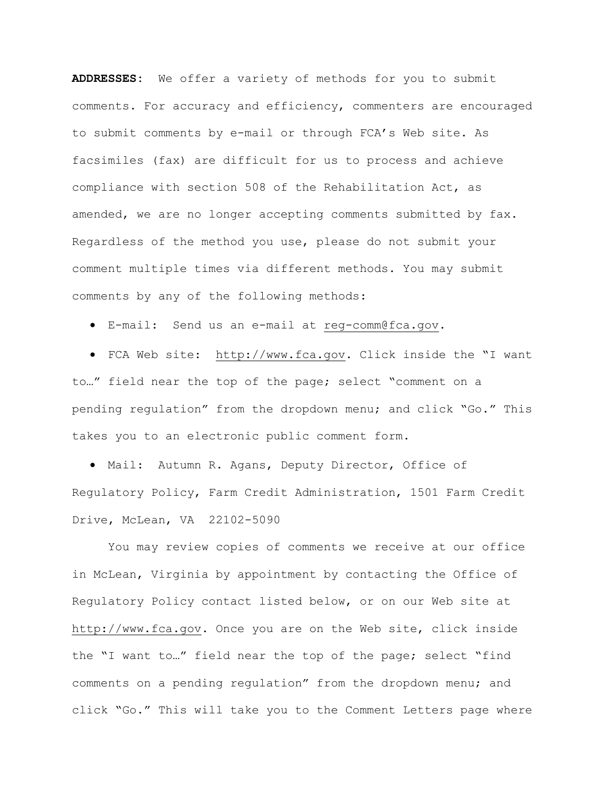**ADDRESSES:** We offer a variety of methods for you to submit comments. For accuracy and efficiency, commenters are encouraged to submit comments by e-mail or through FCA's Web site. As facsimiles (fax) are difficult for us to process and achieve compliance with section 508 of the Rehabilitation Act, as amended, we are no longer accepting comments submitted by fax. Regardless of the method you use, please do not submit your comment multiple times via different methods. You may submit comments by any of the following methods:

• E-mail: Send us an e-mail at [reg-comm@fca.gov.](mailto:reg-comm@fca.gov)

• FCA Web site: [http://www.fca.gov.](http://www.fca.gov/) Click inside the "I want to…" field near the top of the page; select "comment on a pending regulation" from the dropdown menu; and click "Go." This takes you to an electronic public comment form.

• Mail: Autumn R. Agans, Deputy Director, Office of Regulatory Policy, Farm Credit Administration, 1501 Farm Credit Drive, McLean, VA 22102-5090

 You may review copies of comments we receive at our office in McLean, Virginia by appointment by contacting the Office of Regulatory Policy contact listed below, or on our Web site at [http://www.fca.gov.](http://www.fca.gov/) Once you are on the Web site, click inside the "I want to…" field near the top of the page; select "find comments on a pending regulation" from the dropdown menu; and click "Go." This will take you to the Comment Letters page where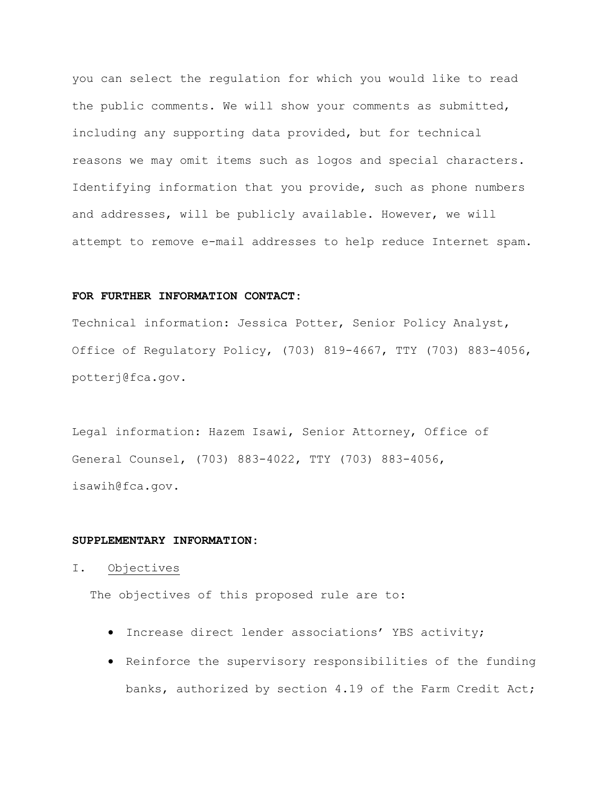you can select the regulation for which you would like to read the public comments. We will show your comments as submitted, including any supporting data provided, but for technical reasons we may omit items such as logos and special characters. Identifying information that you provide, such as phone numbers and addresses, will be publicly available. However, we will attempt to remove e-mail addresses to help reduce Internet spam.

## **FOR FURTHER INFORMATION CONTACT:**

Technical information: Jessica Potter, Senior Policy Analyst, Office of Regulatory Policy, (703) 819-4667, TTY (703) 883-4056, [potterj@fca.gov.](mailto:potterj@fca.gov)

Legal information: Hazem Isawi, Senior Attorney, Office of General Counsel, (703) 883-4022, TTY (703) 883-4056, isawih@fca.gov.

### **SUPPLEMENTARY INFORMATION:**

### I. Objectives

The objectives of this proposed rule are to:

- Increase direct lender associations' YBS activity;
- Reinforce the supervisory responsibilities of the funding banks, authorized by section 4.19 of the Farm Credit Act;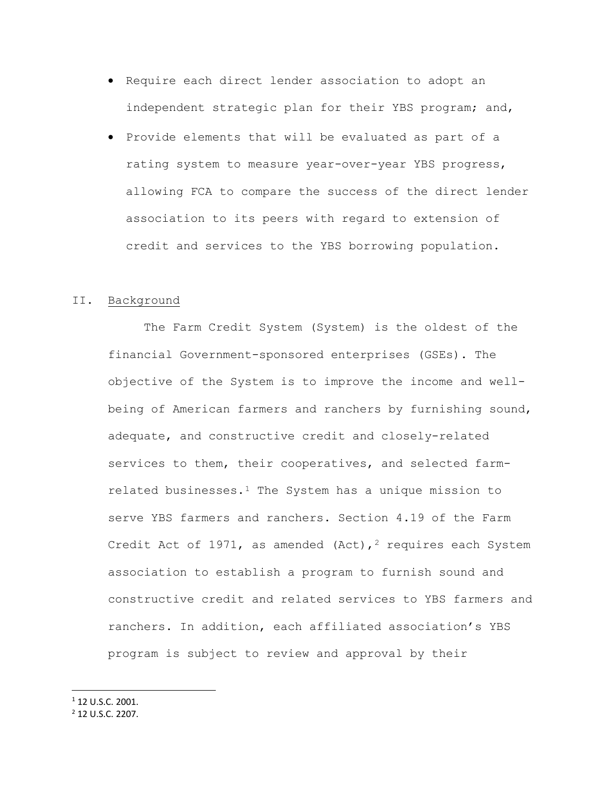- Require each direct lender association to adopt an independent strategic plan for their YBS program; and,
- Provide elements that will be evaluated as part of a rating system to measure year-over-year YBS progress, allowing FCA to compare the success of the direct lender association to its peers with regard to extension of credit and services to the YBS borrowing population.

### II. Background

The Farm Credit System (System) is the oldest of the financial Government-sponsored enterprises (GSEs). The objective of the System is to improve the income and wellbeing of American farmers and ranchers by furnishing sound, adequate, and constructive credit and closely-related services to them, their cooperatives, and selected farm-related businesses.<sup>[1](#page-3-0)</sup> The System has a unique mission to serve YBS farmers and ranchers. Section 4.19 of the Farm Credit Act of 1971, as amended (Act),<sup>2</sup> requires each System association to establish a program to furnish sound and constructive credit and related services to YBS farmers and ranchers. In addition, each affiliated association's YBS program is subject to review and approval by their

<span id="page-3-0"></span><sup>1</sup> 12 U.S.C. 2001.

<span id="page-3-1"></span><sup>2</sup> 12 U.S.C. 2207.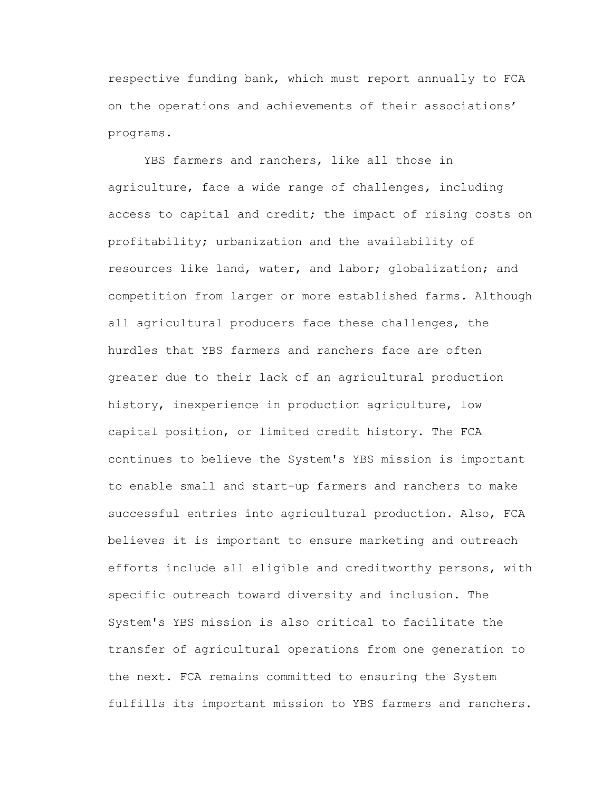respective funding bank, which must report annually to FCA on the operations and achievements of their associations' programs.

YBS farmers and ranchers, like all those in agriculture, face a wide range of challenges, including access to capital and credit; the impact of rising costs on profitability; urbanization and the availability of resources like land, water, and labor; globalization; and competition from larger or more established farms. Although all agricultural producers face these challenges, the hurdles that YBS farmers and ranchers face are often greater due to their lack of an agricultural production history, inexperience in production agriculture, low capital position, or limited credit history. The FCA continues to believe the System's YBS mission is important to enable small and start-up farmers and ranchers to make successful entries into agricultural production. Also, FCA believes it is important to ensure marketing and outreach efforts include all eligible and creditworthy persons, with specific outreach toward diversity and inclusion. The System's YBS mission is also critical to facilitate the transfer of agricultural operations from one generation to the next. FCA remains committed to ensuring the System fulfills its important mission to YBS farmers and ranchers.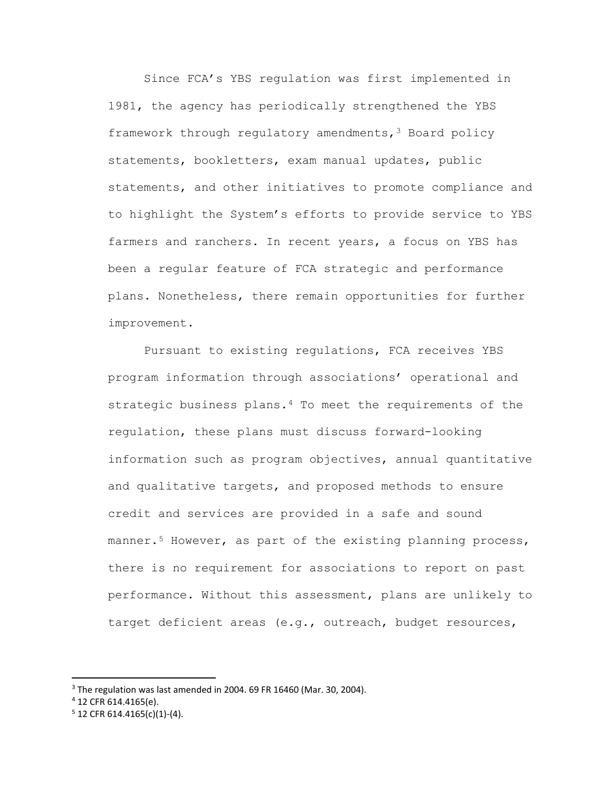Since FCA's YBS regulation was first implemented in 1981, the agency has periodically strengthened the YBS framework through regulatory amendments[,3](#page-5-0) Board policy statements, bookletters, exam manual updates, public statements, and other initiatives to promote compliance and to highlight the System's efforts to provide service to YBS farmers and ranchers. In recent years, a focus on YBS has been a regular feature of FCA strategic and performance plans. Nonetheless, there remain opportunities for further improvement.

Pursuant to existing regulations, FCA receives YBS program information through associations' operational and strategic business plans[.4](#page-5-1) To meet the requirements of the regulation, these plans must discuss forward-looking information such as program objectives, annual quantitative and qualitative targets, and proposed methods to ensure credit and services are provided in a safe and sound manner.<sup>[5](#page-5-2)</sup> However, as part of the existing planning process, there is no requirement for associations to report on past performance. Without this assessment, plans are unlikely to target deficient areas (e.g., outreach, budget resources,

<span id="page-5-0"></span><sup>&</sup>lt;sup>3</sup> The regulation was last amended in 2004. 69 FR 16460 (Mar. 30, 2004).

<span id="page-5-1"></span><sup>4</sup> 12 CFR 614.4165(e).

<span id="page-5-2"></span> $5$  12 CFR 614.4165(c)(1)-(4).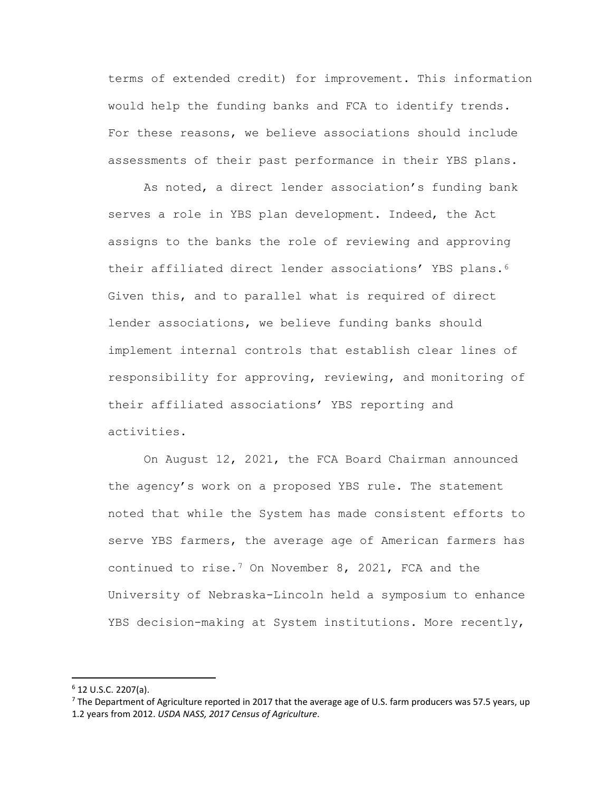terms of extended credit) for improvement. This information would help the funding banks and FCA to identify trends. For these reasons, we believe associations should include assessments of their past performance in their YBS plans.

As noted, a direct lender association's funding bank serves a role in YBS plan development. Indeed, the Act assigns to the banks the role of reviewing and approving their affiliated direct lender associations' YBS plans[.6](#page-6-0) Given this, and to parallel what is required of direct lender associations, we believe funding banks should implement internal controls that establish clear lines of responsibility for approving, reviewing, and monitoring of their affiliated associations' YBS reporting and activities.

On August 12, 2021, the FCA Board Chairman announced the agency's work on a proposed YBS rule. The statement noted that while the System has made consistent efforts to serve YBS farmers, the average age of American farmers has continued to rise.[7](#page-6-1) On November 8, 2021, FCA and the University of Nebraska-Lincoln held a symposium to enhance YBS decision-making at System institutions. More recently,

<span id="page-6-0"></span> $6$  12 U.S.C. 2207(a).

<span id="page-6-1"></span> $<sup>7</sup>$  The Department of Agriculture reported in 2017 that the average age of U.S. farm producers was 57.5 years, up</sup> 1.2 years from 2012. *USDA NASS, 2017 Census of Agriculture*.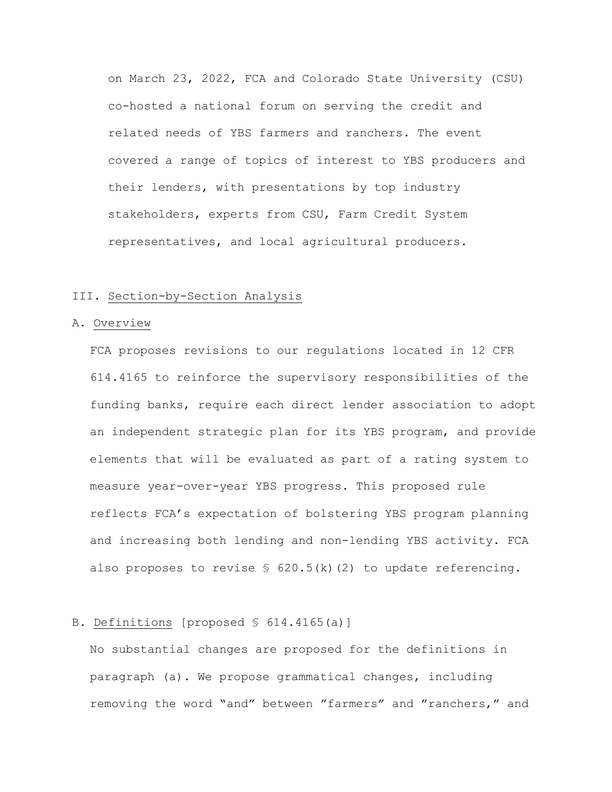on March 23, 2022, FCA and Colorado State University (CSU) co-hosted a national forum on serving the credit and related needs of YBS farmers and ranchers. The event covered a range of topics of interest to YBS producers and their lenders, with presentations by top industry stakeholders, experts from CSU, Farm Credit System representatives, and local agricultural producers.

# III. Section-by-Section Analysis

### A. Overview

FCA proposes revisions to our regulations located in 12 CFR 614.4165 to reinforce the supervisory responsibilities of the funding banks, require each direct lender association to adopt an independent strategic plan for its YBS program, and provide elements that will be evaluated as part of a rating system to measure year-over-year YBS progress. This proposed rule reflects FCA's expectation of bolstering YBS program planning and increasing both lending and non-lending YBS activity. FCA also proposes to revise  $\S$  620.5(k)(2) to update referencing.

# B. Definitions [proposed § 614.4165(a)]

No substantial changes are proposed for the definitions in paragraph (a). We propose grammatical changes, including removing the word "and" between "farmers" and "ranchers," and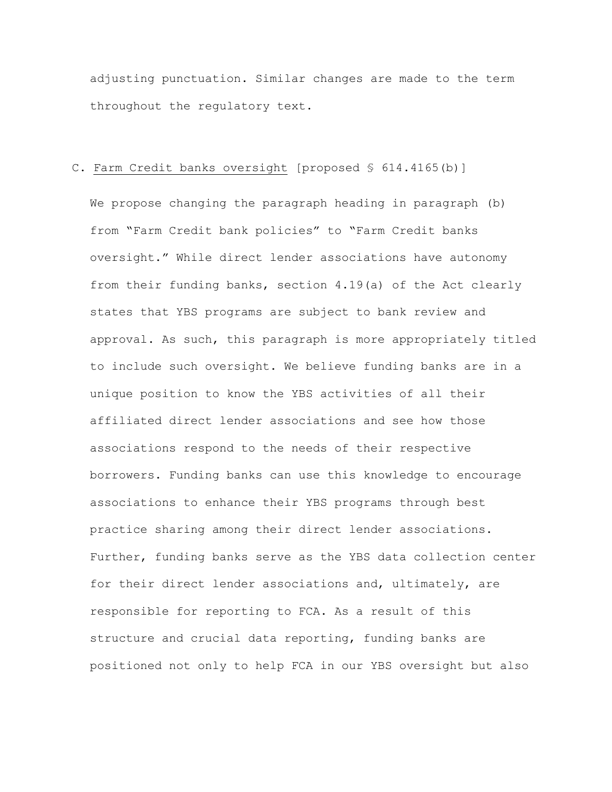adjusting punctuation. Similar changes are made to the term throughout the regulatory text.

# C. Farm Credit banks oversight [proposed § 614.4165(b)]

We propose changing the paragraph heading in paragraph (b) from "Farm Credit bank policies" to "Farm Credit banks oversight." While direct lender associations have autonomy from their funding banks, section 4.19(a) of the Act clearly states that YBS programs are subject to bank review and approval. As such, this paragraph is more appropriately titled to include such oversight. We believe funding banks are in a unique position to know the YBS activities of all their affiliated direct lender associations and see how those associations respond to the needs of their respective borrowers. Funding banks can use this knowledge to encourage associations to enhance their YBS programs through best practice sharing among their direct lender associations. Further, funding banks serve as the YBS data collection center for their direct lender associations and, ultimately, are responsible for reporting to FCA. As a result of this structure and crucial data reporting, funding banks are positioned not only to help FCA in our YBS oversight but also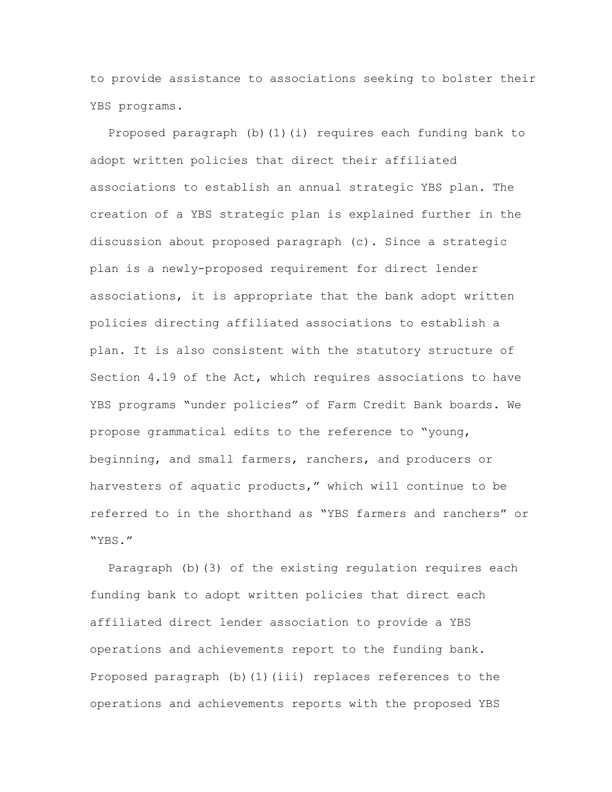to provide assistance to associations seeking to bolster their YBS programs.

Proposed paragraph (b)(1)(i) requires each funding bank to adopt written policies that direct their affiliated associations to establish an annual strategic YBS plan. The creation of a YBS strategic plan is explained further in the discussion about proposed paragraph (c). Since a strategic plan is a newly-proposed requirement for direct lender associations, it is appropriate that the bank adopt written policies directing affiliated associations to establish a plan. It is also consistent with the statutory structure of Section 4.19 of the Act, which requires associations to have YBS programs "under policies" of Farm Credit Bank boards. We propose grammatical edits to the reference to "young, beginning, and small farmers, ranchers, and producers or harvesters of aquatic products," which will continue to be referred to in the shorthand as "YBS farmers and ranchers" or "YBS."

Paragraph (b)(3) of the existing regulation requires each funding bank to adopt written policies that direct each affiliated direct lender association to provide a YBS operations and achievements report to the funding bank. Proposed paragraph (b)(1)(iii) replaces references to the operations and achievements reports with the proposed YBS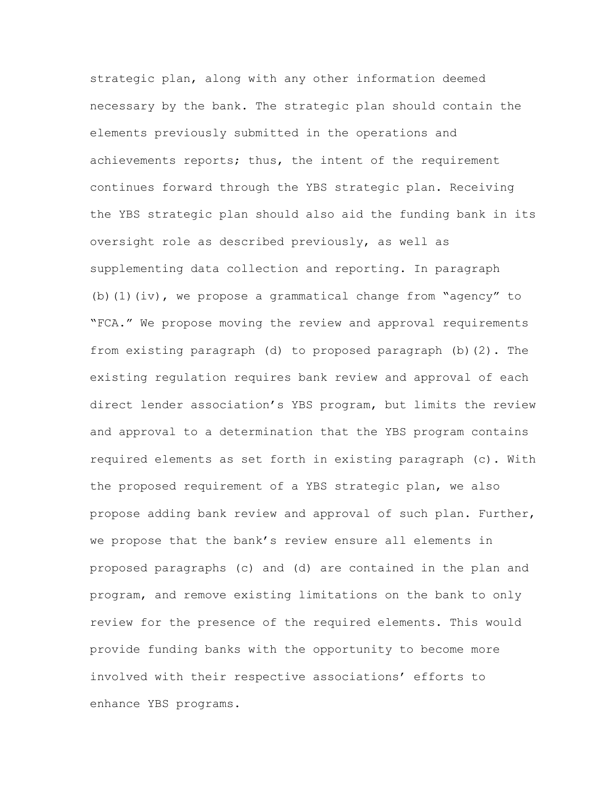strategic plan, along with any other information deemed necessary by the bank. The strategic plan should contain the elements previously submitted in the operations and achievements reports; thus, the intent of the requirement continues forward through the YBS strategic plan. Receiving the YBS strategic plan should also aid the funding bank in its oversight role as described previously, as well as supplementing data collection and reporting. In paragraph (b)(1)(iv), we propose a grammatical change from "agency" to "FCA." We propose moving the review and approval requirements from existing paragraph (d) to proposed paragraph (b)(2). The existing regulation requires bank review and approval of each direct lender association's YBS program, but limits the review and approval to a determination that the YBS program contains required elements as set forth in existing paragraph (c). With the proposed requirement of a YBS strategic plan, we also propose adding bank review and approval of such plan. Further, we propose that the bank's review ensure all elements in proposed paragraphs (c) and (d) are contained in the plan and program, and remove existing limitations on the bank to only review for the presence of the required elements. This would provide funding banks with the opportunity to become more involved with their respective associations' efforts to enhance YBS programs.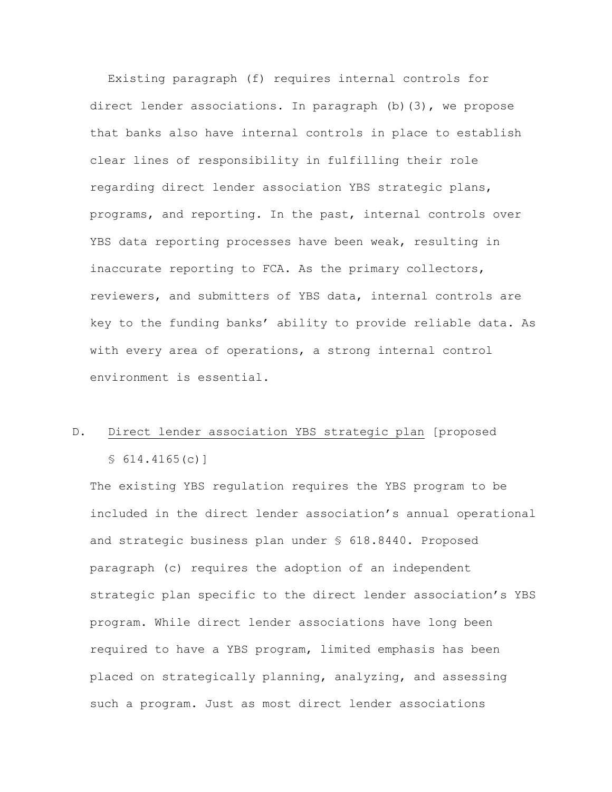Existing paragraph (f) requires internal controls for direct lender associations. In paragraph (b)(3), we propose that banks also have internal controls in place to establish clear lines of responsibility in fulfilling their role regarding direct lender association YBS strategic plans, programs, and reporting. In the past, internal controls over YBS data reporting processes have been weak, resulting in inaccurate reporting to FCA. As the primary collectors, reviewers, and submitters of YBS data, internal controls are key to the funding banks' ability to provide reliable data. As with every area of operations, a strong internal control environment is essential.

# D. Direct lender association YBS strategic plan [proposed § 614.4165(c)]

The existing YBS regulation requires the YBS program to be included in the direct lender association's annual operational and strategic business plan under § 618.8440. Proposed paragraph (c) requires the adoption of an independent strategic plan specific to the direct lender association's YBS program. While direct lender associations have long been required to have a YBS program, limited emphasis has been placed on strategically planning, analyzing, and assessing such a program. Just as most direct lender associations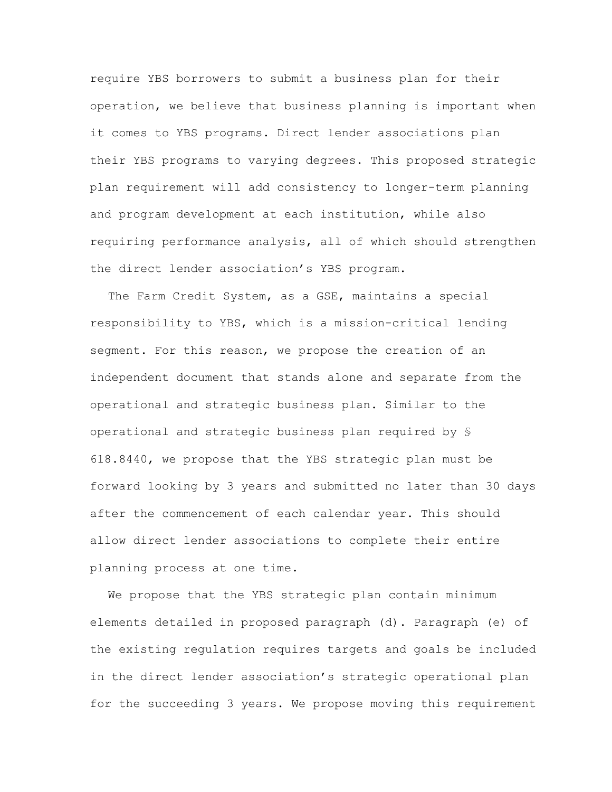require YBS borrowers to submit a business plan for their operation, we believe that business planning is important when it comes to YBS programs. Direct lender associations plan their YBS programs to varying degrees. This proposed strategic plan requirement will add consistency to longer-term planning and program development at each institution, while also requiring performance analysis, all of which should strengthen the direct lender association's YBS program.

The Farm Credit System, as a GSE, maintains a special responsibility to YBS, which is a mission-critical lending segment. For this reason, we propose the creation of an independent document that stands alone and separate from the operational and strategic business plan. Similar to the operational and strategic business plan required by § 618.8440, we propose that the YBS strategic plan must be forward looking by 3 years and submitted no later than 30 days after the commencement of each calendar year. This should allow direct lender associations to complete their entire planning process at one time.

We propose that the YBS strategic plan contain minimum elements detailed in proposed paragraph (d). Paragraph (e) of the existing regulation requires targets and goals be included in the direct lender association's strategic operational plan for the succeeding 3 years. We propose moving this requirement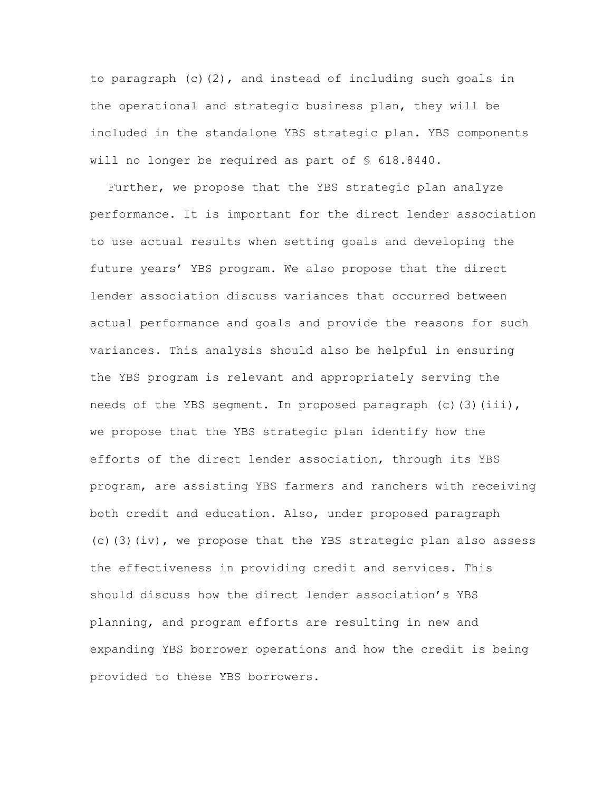to paragraph (c)(2), and instead of including such goals in the operational and strategic business plan, they will be included in the standalone YBS strategic plan. YBS components will no longer be required as part of § 618.8440.

Further, we propose that the YBS strategic plan analyze performance. It is important for the direct lender association to use actual results when setting goals and developing the future years' YBS program. We also propose that the direct lender association discuss variances that occurred between actual performance and goals and provide the reasons for such variances. This analysis should also be helpful in ensuring the YBS program is relevant and appropriately serving the needs of the YBS segment. In proposed paragraph (c)(3)(iii), we propose that the YBS strategic plan identify how the efforts of the direct lender association, through its YBS program, are assisting YBS farmers and ranchers with receiving both credit and education. Also, under proposed paragraph (c)(3)(iv), we propose that the YBS strategic plan also assess the effectiveness in providing credit and services. This should discuss how the direct lender association's YBS planning, and program efforts are resulting in new and expanding YBS borrower operations and how the credit is being provided to these YBS borrowers.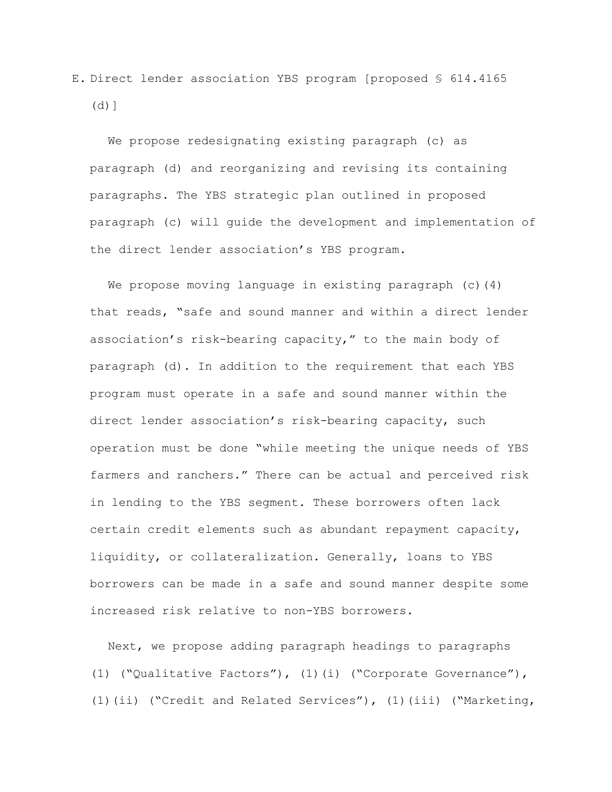E. Direct lender association YBS program [proposed § 614.4165  $(d)$ ]

We propose redesignating existing paragraph (c) as paragraph (d) and reorganizing and revising its containing paragraphs. The YBS strategic plan outlined in proposed paragraph (c) will guide the development and implementation of the direct lender association's YBS program.

We propose moving language in existing paragraph  $(c)$  (4) that reads, "safe and sound manner and within a direct lender association's risk-bearing capacity," to the main body of paragraph (d). In addition to the requirement that each YBS program must operate in a safe and sound manner within the direct lender association's risk-bearing capacity, such operation must be done "while meeting the unique needs of YBS farmers and ranchers." There can be actual and perceived risk in lending to the YBS segment. These borrowers often lack certain credit elements such as abundant repayment capacity, liquidity, or collateralization. Generally, loans to YBS borrowers can be made in a safe and sound manner despite some increased risk relative to non-YBS borrowers.

Next, we propose adding paragraph headings to paragraphs (1) ("Qualitative Factors"), (1)(i) ("Corporate Governance"), (1)(ii) ("Credit and Related Services"), (1)(iii) ("Marketing,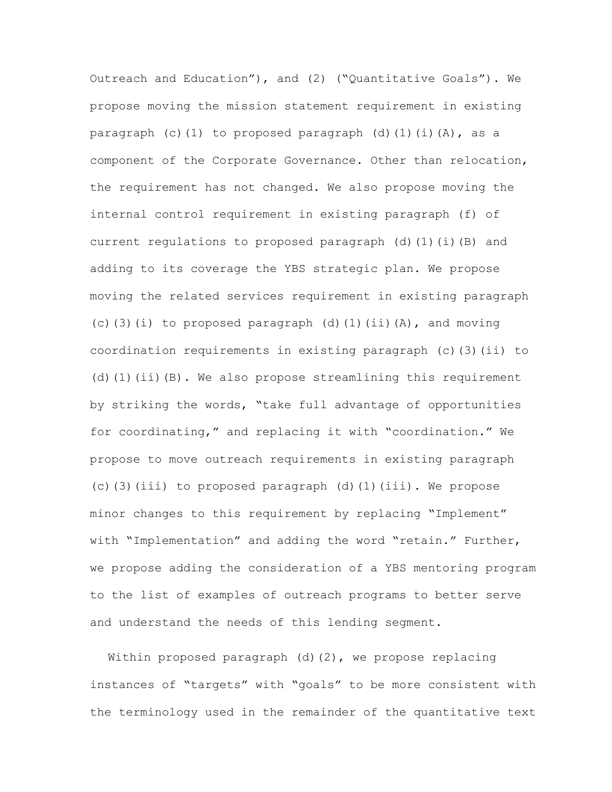Outreach and Education"), and (2) ("Quantitative Goals"). We propose moving the mission statement requirement in existing paragraph (c)(1) to proposed paragraph (d)(1)(i)(A), as a component of the Corporate Governance. Other than relocation, the requirement has not changed. We also propose moving the internal control requirement in existing paragraph (f) of current regulations to proposed paragraph (d)(1)(i)(B) and adding to its coverage the YBS strategic plan. We propose moving the related services requirement in existing paragraph (c)(3)(i) to proposed paragraph (d)(1)(ii)(A), and moving coordination requirements in existing paragraph (c)(3)(ii) to (d)(1)(ii)(B). We also propose streamlining this requirement by striking the words, "take full advantage of opportunities for coordinating," and replacing it with "coordination." We propose to move outreach requirements in existing paragraph (c)(3)(iii) to proposed paragraph (d)(1)(iii). We propose minor changes to this requirement by replacing "Implement" with "Implementation" and adding the word "retain." Further, we propose adding the consideration of a YBS mentoring program to the list of examples of outreach programs to better serve and understand the needs of this lending segment.

Within proposed paragraph  $(d)(2)$ , we propose replacing instances of "targets" with "goals" to be more consistent with the terminology used in the remainder of the quantitative text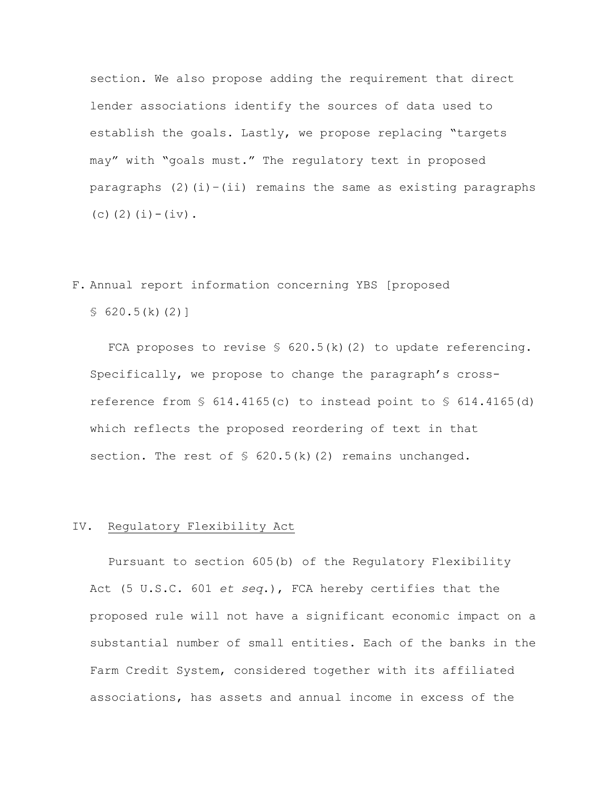section. We also propose adding the requirement that direct lender associations identify the sources of data used to establish the goals. Lastly, we propose replacing "targets may" with "goals must." The regulatory text in proposed paragraphs  $(2)(i)-(ii)$  remains the same as existing paragraphs (c)(2)(i)-(iv).

# F. Annual report information concerning YBS [proposed

 $$620.5(k)(2)]$ 

FCA proposes to revise § 620.5(k)(2) to update referencing. Specifically, we propose to change the paragraph's crossreference from § 614.4165(c) to instead point to § 614.4165(d) which reflects the proposed reordering of text in that section. The rest of  $\frac{1}{2}$  620.5(k)(2) remains unchanged.

# IV. Regulatory Flexibility Act

Pursuant to section 605(b) of the Regulatory Flexibility Act (5 U.S.C. 601 *et seq*.), FCA hereby certifies that the proposed rule will not have a significant economic impact on a substantial number of small entities. Each of the banks in the Farm Credit System, considered together with its affiliated associations, has assets and annual income in excess of the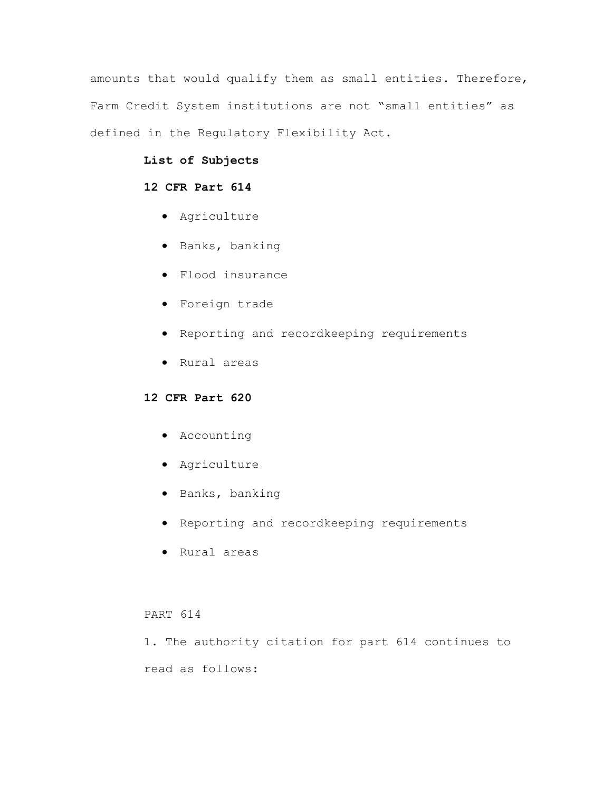amounts that would qualify them as small entities. Therefore, Farm Credit System institutions are not "small entities" as defined in the Regulatory Flexibility Act.

# **List of Subjects**

# **12 CFR Part 614**

- Agriculture
- Banks, banking
- Flood insurance
- Foreign trade
- Reporting and recordkeeping requirements
- Rural areas

# **12 CFR Part 620**

- Accounting
- Agriculture
- Banks, banking
- Reporting and recordkeeping requirements
- Rural areas

## PART 614

1. The authority citation for part 614 continues to read as follows: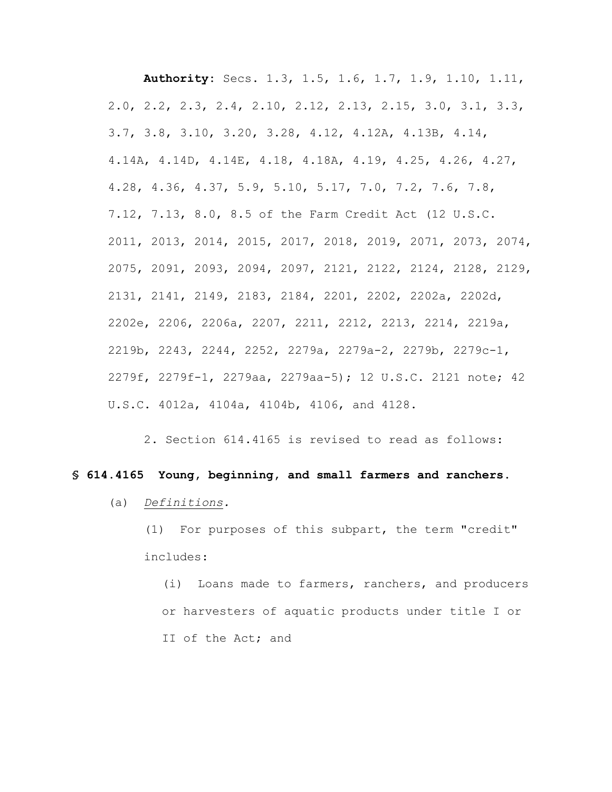**Authority:** Secs. 1.3, 1.5, 1.6, 1.7, 1.9, 1.10, 1.11, 2.0, 2.2, 2.3, 2.4, 2.10, 2.12, 2.13, 2.15, 3.0, 3.1, 3.3, 3.7, 3.8, 3.10, 3.20, 3.28, 4.12, 4.12A, 4.13B, 4.14, 4.14A, 4.14D, 4.14E, 4.18, 4.18A, 4.19, 4.25, 4.26, 4.27, 4.28, 4.36, 4.37, 5.9, 5.10, 5.17, 7.0, 7.2, 7.6, 7.8, 7.12, 7.13, 8.0, 8.5 of the Farm Credit Act (12 U.S.C. 2011, 2013, 2014, 2015, 2017, 2018, 2019, 2071, 2073, 2074, 2075, 2091, 2093, 2094, 2097, 2121, 2122, 2124, 2128, 2129, 2131, 2141, 2149, 2183, 2184, 2201, 2202, 2202a, 2202d, 2202e, 2206, 2206a, 2207, 2211, 2212, 2213, 2214, 2219a, 2219b, 2243, 2244, 2252, 2279a, 2279a-2, 2279b, 2279c-1, 2279f, 2279f-1, 2279aa, 2279aa-5); 12 U.S.C. 2121 note; 42 U.S.C. 4012a, 4104a, 4104b, 4106, and 4128.

2. Section 614.4165 is revised to read as follows:

### **§ 614.4165 Young, beginning, and small farmers and ranchers.**

### (a) *Definitions.*

(1) For purposes of this subpart, the term "credit" includes:

(i) Loans made to farmers, ranchers, and producers or harvesters of aquatic products under title I or II of the Act; and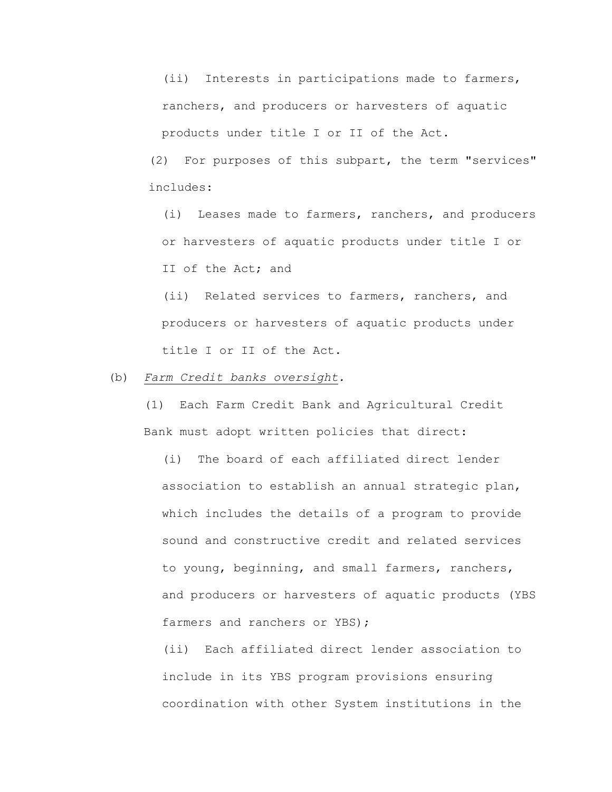(ii) Interests in participations made to farmers, ranchers, and producers or harvesters of aquatic products under title I or II of the Act.

(2) For purposes of this subpart, the term "services" includes:

(i) Leases made to farmers, ranchers, and producers or harvesters of aquatic products under title I or II of the Act; and

(ii) Related services to farmers, ranchers, and producers or harvesters of aquatic products under title I or II of the Act.

(b) *Farm Credit banks oversight.*

(1) Each Farm Credit Bank and Agricultural Credit Bank must adopt written policies that direct:

(i) The board of each affiliated direct lender association to establish an annual strategic plan, which includes the details of a program to provide sound and constructive credit and related services to young, beginning, and small farmers, ranchers, and producers or harvesters of aquatic products (YBS farmers and ranchers or YBS);

(ii) Each affiliated direct lender association to include in its YBS program provisions ensuring coordination with other System institutions in the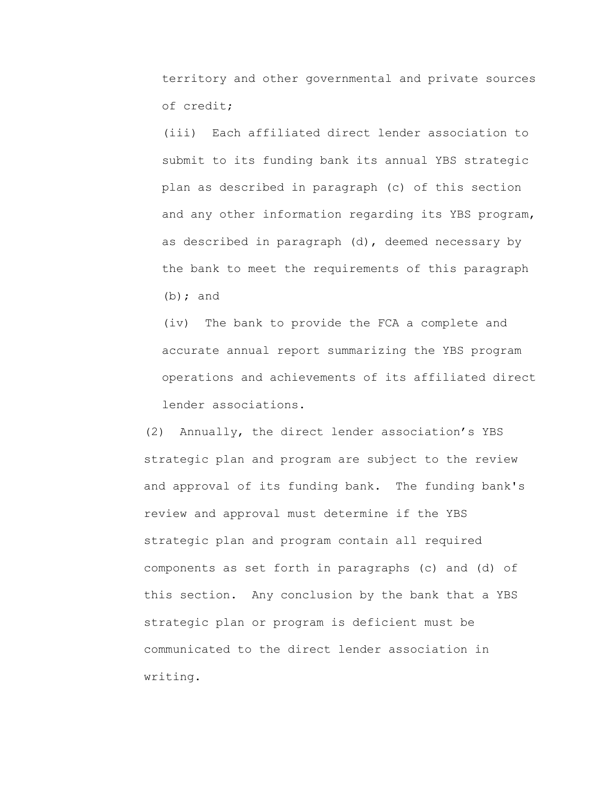territory and other governmental and private sources of credit;

(iii) Each affiliated direct lender association to submit to its funding bank its annual YBS strategic plan as described in paragraph (c) of this section and any other information regarding its YBS program, as described in paragraph (d), deemed necessary by the bank to meet the requirements of this paragraph (b); and

(iv) The bank to provide the FCA a complete and accurate annual report summarizing the YBS program operations and achievements of its affiliated direct lender associations.

(2) Annually, the direct lender association's YBS strategic plan and program are subject to the review and approval of its funding bank. The funding bank's review and approval must determine if the YBS strategic plan and program contain all required components as set forth in paragraphs (c) and (d) of this section. Any conclusion by the bank that a YBS strategic plan or program is deficient must be communicated to the direct lender association in writing.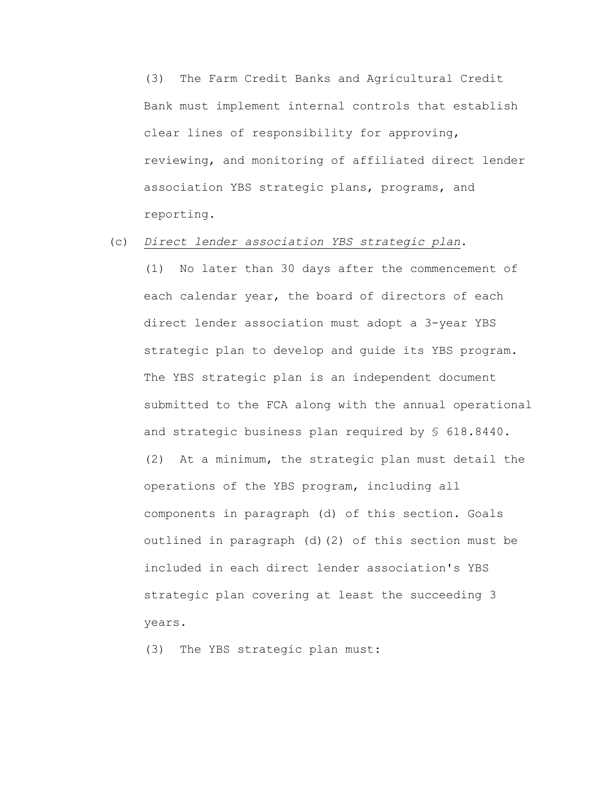(3) The Farm Credit Banks and Agricultural Credit Bank must implement internal controls that establish clear lines of responsibility for approving, reviewing, and monitoring of affiliated direct lender association YBS strategic plans, programs, and reporting.

# (c) *Direct lender association YBS strategic plan*.

(1) No later than 30 days after the commencement of each calendar year, the board of directors of each direct lender association must adopt a 3-year YBS strategic plan to develop and guide its YBS program. The YBS strategic plan is an independent document submitted to the FCA along with the annual operational and strategic business plan required by § 618.8440. (2) At a minimum, the strategic plan must detail the operations of the YBS program, including all components in paragraph (d) of this section. Goals outlined in paragraph (d)(2) of this section must be included in each direct lender association's YBS strategic plan covering at least the succeeding 3 years.

(3) The YBS strategic plan must: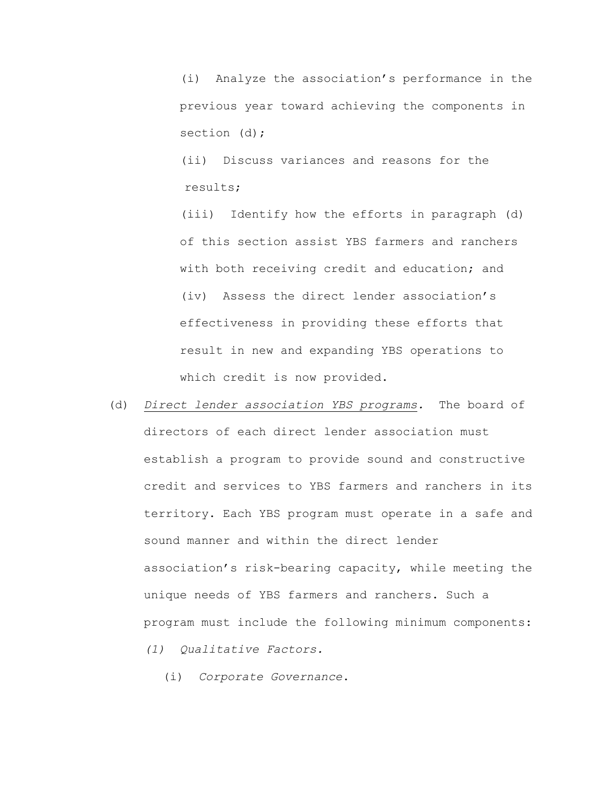(i) Analyze the association's performance in the previous year toward achieving the components in section (d);

(ii) Discuss variances and reasons for the results;

(iii) Identify how the efforts in paragraph (d) of this section assist YBS farmers and ranchers with both receiving credit and education; and (iv) Assess the direct lender association's effectiveness in providing these efforts that result in new and expanding YBS operations to which credit is now provided.

(d) *Direct lender association YBS programs.* The board of directors of each direct lender association must establish a program to provide sound and constructive credit and services to YBS farmers and ranchers in its territory. Each YBS program must operate in a safe and sound manner and within the direct lender association's risk-bearing capacity, while meeting the unique needs of YBS farmers and ranchers. Such a program must include the following minimum components: *(1) Qualitative Factors.* 

(i) *Corporate Governance*.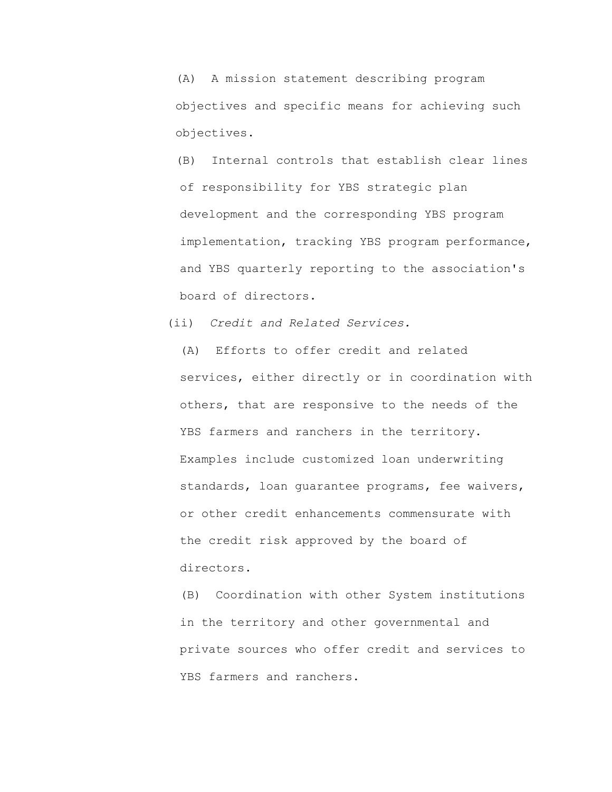(A) A mission statement describing program objectives and specific means for achieving such objectives.

(B) Internal controls that establish clear lines of responsibility for YBS strategic plan development and the corresponding YBS program implementation, tracking YBS program performance, and YBS quarterly reporting to the association's board of directors.

(ii) *Credit and Related Services.*

(A) Efforts to offer credit and related services, either directly or in coordination with others, that are responsive to the needs of the YBS farmers and ranchers in the territory. Examples include customized loan underwriting standards, loan guarantee programs, fee waivers, or other credit enhancements commensurate with the credit risk approved by the board of directors.

(B) Coordination with other System institutions in the territory and other governmental and private sources who offer credit and services to YBS farmers and ranchers.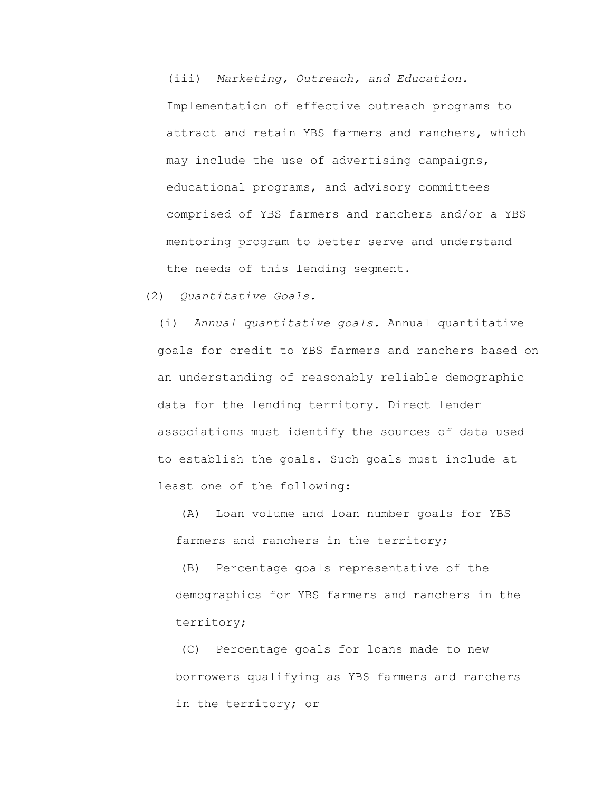(iii) *Marketing, Outreach, and Education.* Implementation of effective outreach programs to attract and retain YBS farmers and ranchers, which may include the use of advertising campaigns, educational programs, and advisory committees comprised of YBS farmers and ranchers and/or a YBS mentoring program to better serve and understand the needs of this lending segment.

(2) *Quantitative Goals.*

(i) *Annual quantitative goals.* Annual quantitative goals for credit to YBS farmers and ranchers based on an understanding of reasonably reliable demographic data for the lending territory. Direct lender associations must identify the sources of data used to establish the goals. Such goals must include at least one of the following:

(A) Loan volume and loan number goals for YBS farmers and ranchers in the territory;

(B) Percentage goals representative of the demographics for YBS farmers and ranchers in the territory;

(C) Percentage goals for loans made to new borrowers qualifying as YBS farmers and ranchers in the territory; or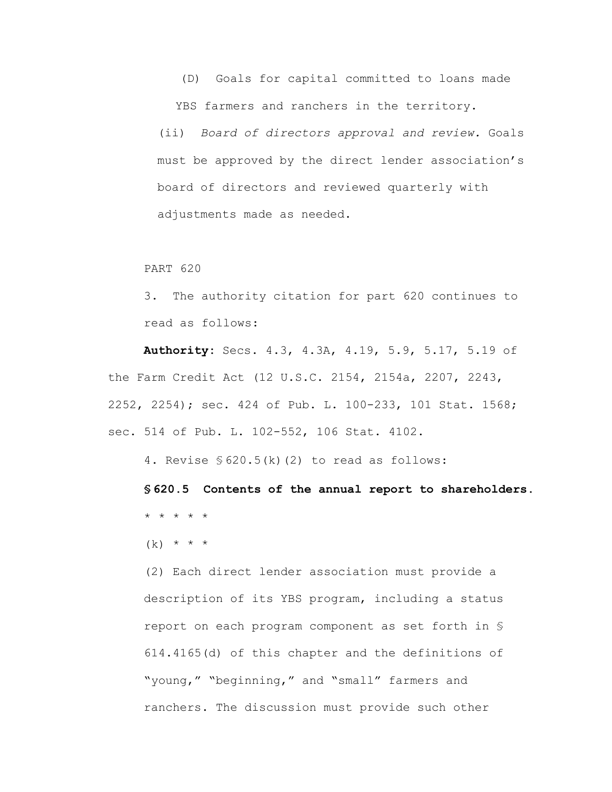(D) Goals for capital committed to loans made YBS farmers and ranchers in the territory.

(ii) *Board of directors approval and review.* Goals must be approved by the direct lender association's board of directors and reviewed quarterly with adjustments made as needed.

#### PART 620

3. The authority citation for part 620 continues to read as follows:

**Authority:** Secs. 4.3, 4.3A, 4.19, 5.9, 5.17, 5.19 of the Farm Credit Act (12 U.S.C. 2154, 2154a, 2207, 2243, 2252, 2254); sec. 424 of Pub. L. 100-233, 101 Stat. 1568; sec. 514 of Pub. L. 102-552, 106 Stat. 4102.

4. Revise § 620.5(k)(2) to read as follows:

**§ 620.5 Contents of the annual report to shareholders.** \* \* \* \* \*

 $(k) * * * *$ 

(2) Each direct lender association must provide a description of its YBS program, including a status report on each program component as set forth in § 614.4165(d) of this chapter and the definitions of "young," "beginning," and "small" farmers and ranchers. The discussion must provide such other